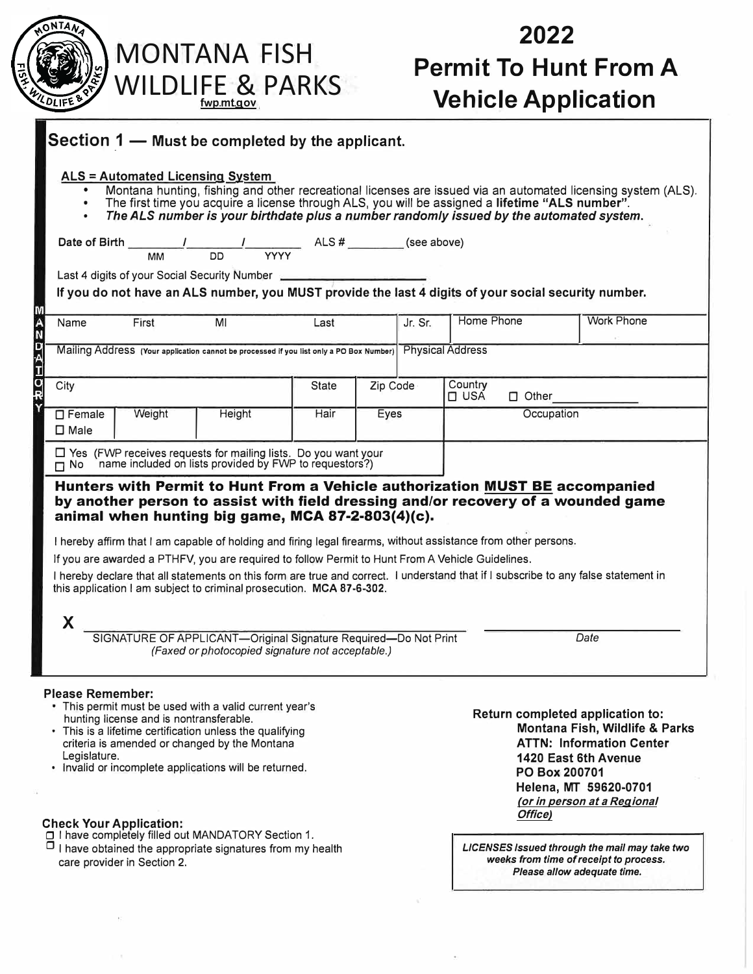| <b>MONTANA FISH</b><br><b>WILDLIFE &amp; PARKS</b><br>fwp.mt.gov |                                      |                                                                                                                                                                                                                                                                                                                                                                                                                                 |              |                                                                                               | 2022<br><b>Permit To Hunt From A</b><br><b>Vehicle Application</b> |              |                                                                                                                                                                                                                         |  |
|------------------------------------------------------------------|--------------------------------------|---------------------------------------------------------------------------------------------------------------------------------------------------------------------------------------------------------------------------------------------------------------------------------------------------------------------------------------------------------------------------------------------------------------------------------|--------------|-----------------------------------------------------------------------------------------------|--------------------------------------------------------------------|--------------|-------------------------------------------------------------------------------------------------------------------------------------------------------------------------------------------------------------------------|--|
| $\bullet$<br>$\bullet$                                           | ALS = Automated Licensing System     | Section 1 — Must be completed by the applicant.<br>The first time you acquire a license through ALS, you will be assigned a lifetime "ALS number".<br>The ALS number is your birthdate plus a number randomly issued by the automated system.                                                                                                                                                                                   |              | $\frac{\phantom{2}}{\begin{array}{c}\n\text{YYYY}\n\end{array}}$ ALS # __________ (see above) |                                                                    |              | Montana hunting, fishing and other recreational licenses are issued via an automated licensing system (ALS).                                                                                                            |  |
|                                                                  | Date of Birth $\frac{1}{M}$ DD<br>MM |                                                                                                                                                                                                                                                                                                                                                                                                                                 |              |                                                                                               |                                                                    |              |                                                                                                                                                                                                                         |  |
|                                                                  |                                      | Last 4 digits of your Social Security Number<br>If you do not have an ALS number, you MUST provide the last 4 digits of your social security number.                                                                                                                                                                                                                                                                            |              |                                                                                               |                                                                    |              |                                                                                                                                                                                                                         |  |
|                                                                  |                                      |                                                                                                                                                                                                                                                                                                                                                                                                                                 |              |                                                                                               |                                                                    |              |                                                                                                                                                                                                                         |  |
| Name                                                             | First                                | MI                                                                                                                                                                                                                                                                                                                                                                                                                              | Last         | Jr. Sr.                                                                                       | Home Phone                                                         |              | <b>Work Phone</b>                                                                                                                                                                                                       |  |
|                                                                  |                                      | Mailing Address (Your application cannot be processed if you list only a PO Box Number) Physical Address                                                                                                                                                                                                                                                                                                                        |              |                                                                                               |                                                                    |              |                                                                                                                                                                                                                         |  |
| City                                                             |                                      |                                                                                                                                                                                                                                                                                                                                                                                                                                 | <b>State</b> | Zip Code                                                                                      | Country<br>$\square$ USA                                           | $\Box$ Other |                                                                                                                                                                                                                         |  |
| $\Box$ Female<br>$\square$ Male                                  | Weight<br>Height                     |                                                                                                                                                                                                                                                                                                                                                                                                                                 | Hair         | Eyes                                                                                          |                                                                    | Occupation   |                                                                                                                                                                                                                         |  |
|                                                                  |                                      | $\Box$ Yes (FWP receives requests for mailing lists. Do you want your<br>$\Box$ No name included on lists provided by FWP to requestors?)                                                                                                                                                                                                                                                                                       |              |                                                                                               |                                                                    |              |                                                                                                                                                                                                                         |  |
|                                                                  |                                      | Hunters with Permit to Hunt From a Vehicle authorization MUST BE accompanied<br>animal when hunting big game, MCA 87-2-803(4)(c).<br>I hereby affirm that I am capable of holding and firing legal firearms, without assistance from other persons.<br>If you are awarded a PTHFV, you are required to follow Permit to Hunt From A Vehicle Guidelines.<br>this application I am subject to criminal prosecution. MCA 87-6-302. |              |                                                                                               |                                                                    |              | by another person to assist with field dressing and/or recovery of a wounded game<br>I hereby declare that all statements on this form are true and correct. I understand that if I subscribe to any false statement in |  |
| X                                                                |                                      |                                                                                                                                                                                                                                                                                                                                                                                                                                 |              |                                                                                               |                                                                    |              |                                                                                                                                                                                                                         |  |
|                                                                  |                                      | SIGNATURE OF APPLICANT-Original Signature Required-Do Not Print<br>(Faxed or photocopied signature not acceptable.)                                                                                                                                                                                                                                                                                                             |              |                                                                                               |                                                                    |              | Date                                                                                                                                                                                                                    |  |

 $\bar{r}$ 

 $\bar{\alpha}$ 

Check **Your Application:**<br>□ I have completely filled out MANDATORY Section 1.<br>□ I have obtained the appropriate signatures from my health care provider in Section 2.

*LICENSES Issued through the mail may take two weeks from time of receipt to process. Please allow adequate time.* 

ÿ